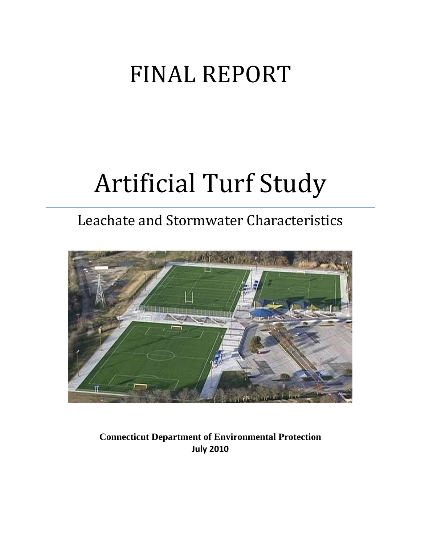## FINAL REPORT

# Artificial Turf Study

### Leachate and Stormwater Characteristics



**Connecticut Department of Environmental Protection July 2010**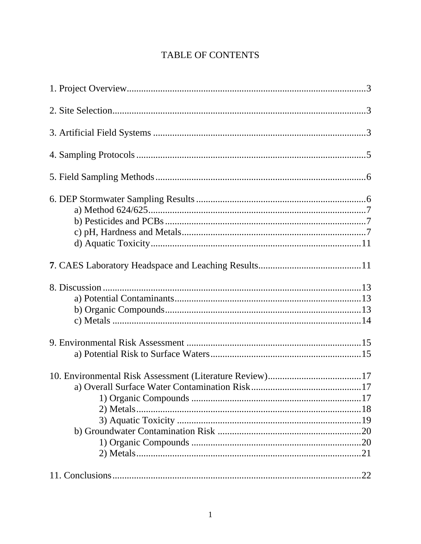#### TABLE OF CONTENTS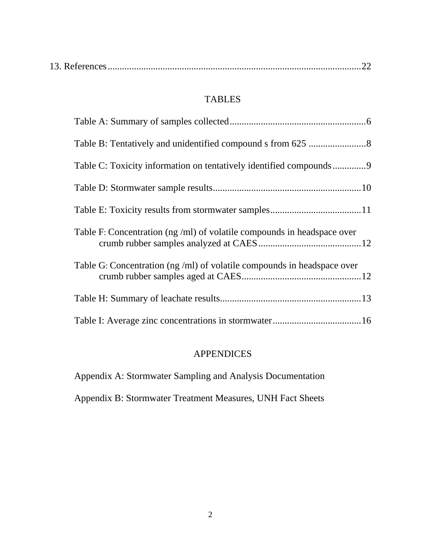|--|--|--|--|

#### TABLES

| Table C: Toxicity information on tentatively identified compounds9     |
|------------------------------------------------------------------------|
|                                                                        |
|                                                                        |
| Table F: Concentration (ng/ml) of volatile compounds in headspace over |
| Table G: Concentration (ng/ml) of volatile compounds in headspace over |
|                                                                        |
|                                                                        |

#### APPENDICES

Appendix A: Stormwater Sampling and Analysis Documentation

Appendix B: Stormwater Treatment Measures, UNH Fact Sheets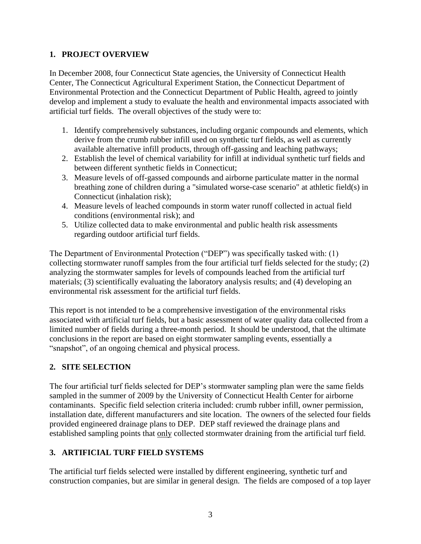#### **1. PROJECT OVERVIEW**

In December 2008, four Connecticut State agencies, the University of Connecticut Health Center, The Connecticut Agricultural Experiment Station, the Connecticut Department of Environmental Protection and the Connecticut Department of Public Health, agreed to jointly develop and implement a study to evaluate the health and environmental impacts associated with artificial turf fields. The overall objectives of the study were to:

- 1. Identify comprehensively substances, including organic compounds and elements, which derive from the crumb rubber infill used on synthetic turf fields, as well as currently available alternative infill products, through off-gassing and leaching pathways;
- 2. Establish the level of chemical variability for infill at individual synthetic turf fields and between different synthetic fields in Connecticut;
- 3. Measure levels of off-gassed compounds and airborne particulate matter in the normal breathing zone of children during a "simulated worse-case scenario" at athletic field(s) in Connecticut (inhalation risk);
- 4. Measure levels of leached compounds in storm water runoff collected in actual field conditions (environmental risk); and
- 5. Utilize collected data to make environmental and public health risk assessments regarding outdoor artificial turf fields.

The Department of Environmental Protection ("DEP") was specifically tasked with: (1) collecting stormwater runoff samples from the four artificial turf fields selected for the study; (2) analyzing the stormwater samples for levels of compounds leached from the artificial turf materials; (3) scientifically evaluating the laboratory analysis results; and (4) developing an environmental risk assessment for the artificial turf fields.

This report is not intended to be a comprehensive investigation of the environmental risks associated with artificial turf fields, but a basic assessment of water quality data collected from a limited number of fields during a three-month period. It should be understood, that the ultimate conclusions in the report are based on eight stormwater sampling events, essentially a "snapshot", of an ongoing chemical and physical process.

#### **2. SITE SELECTION**

The four artificial turf fields selected for DEP's stormwater sampling plan were the same fields sampled in the summer of 2009 by the University of Connecticut Health Center for airborne contaminants. Specific field selection criteria included: crumb rubber infill, owner permission, installation date, different manufacturers and site location. The owners of the selected four fields provided engineered drainage plans to DEP. DEP staff reviewed the drainage plans and established sampling points that only collected stormwater draining from the artificial turf field.

#### **3. ARTIFICIAL TURF FIELD SYSTEMS**

The artificial turf fields selected were installed by different engineering, synthetic turf and construction companies, but are similar in general design. The fields are composed of a top layer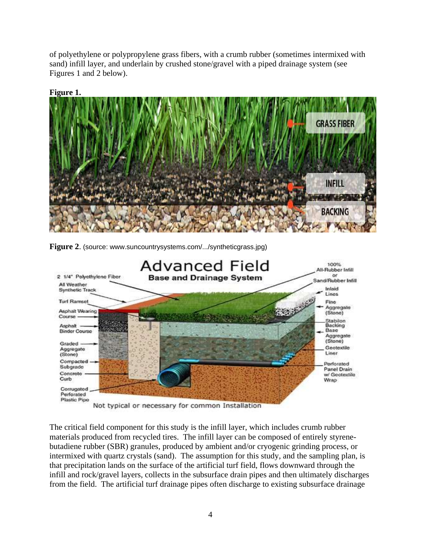of polyethylene or polypropylene grass fibers, with a crumb rubber (sometimes intermixed with sand) infill layer, and underlain by crushed stone/gravel with a piped drainage system (see Figures 1 and 2 below).



#### **Figure 1.**

**Figure 2.** (source: www.suncountrysystems.com/.../syntheticgrass.jpg)



Not typical or necessary for common Installation

The critical field component for this study is the infill layer, which includes crumb rubber materials produced from recycled tires. The infill layer can be composed of entirely styrenebutadiene rubber (SBR) granules, produced by ambient and/or cryogenic grinding process, or intermixed with quartz crystals (sand). The assumption for this study, and the sampling plan, is that precipitation lands on the surface of the artificial turf field, flows downward through the infill and rock/gravel layers, collects in the subsurface drain pipes and then ultimately discharges from the field. The artificial turf drainage pipes often discharge to existing subsurface drainage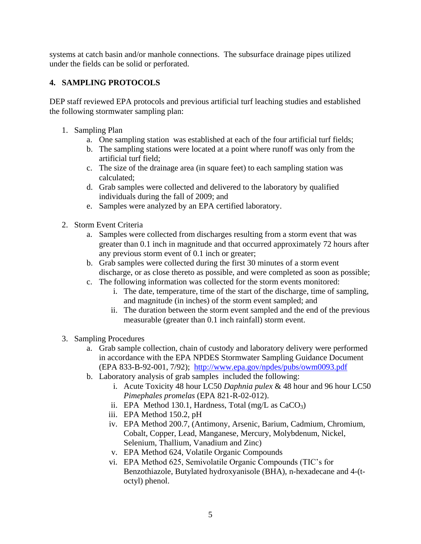systems at catch basin and/or manhole connections. The subsurface drainage pipes utilized under the fields can be solid or perforated.

#### **4. SAMPLING PROTOCOLS**

DEP staff reviewed EPA protocols and previous artificial turf leaching studies and established the following stormwater sampling plan:

- 1. Sampling Plan
	- a. One sampling station was established at each of the four artificial turf fields;
	- b. The sampling stations were located at a point where runoff was only from the artificial turf field;
	- c. The size of the drainage area (in square feet) to each sampling station was calculated;
	- d. Grab samples were collected and delivered to the laboratory by qualified individuals during the fall of 2009; and
	- e. Samples were analyzed by an EPA certified laboratory.
- 2. Storm Event Criteria
	- a. Samples were collected from discharges resulting from a storm event that was greater than 0.1 inch in magnitude and that occurred approximately 72 hours after any previous storm event of 0.1 inch or greater;
	- b. Grab samples were collected during the first 30 minutes of a storm event discharge, or as close thereto as possible, and were completed as soon as possible;
	- c. The following information was collected for the storm events monitored:
		- i. The date, temperature, time of the start of the discharge, time of sampling, and magnitude (in inches) of the storm event sampled; and
		- ii. The duration between the storm event sampled and the end of the previous measurable (greater than 0.1 inch rainfall) storm event.
- 3. Sampling Procedures
	- a. Grab sample collection, chain of custody and laboratory delivery were performed in accordance with the EPA NPDES Stormwater Sampling Guidance Document (EPA 833-B-92-001, 7/92); <http://www.epa.gov/npdes/pubs/owm0093.pdf>
	- b. Laboratory analysis of grab samples included the following:
		- i. Acute Toxicity 48 hour LC50 *Daphnia pulex* & 48 hour and 96 hour LC50 *Pimephales promelas* (EPA 821-R-02-012).
		- ii. EPA Method 130.1, Hardness, Total (mg/L as  $CaCO<sub>3</sub>$ )
		- iii. EPA Method 150.2, pH
		- iv. EPA Method 200.7, (Antimony, Arsenic, Barium, Cadmium, Chromium, Cobalt, Copper, Lead, Manganese, Mercury, Molybdenum, Nickel, Selenium, Thallium, Vanadium and Zinc)
		- v. EPA Method 624, Volatile Organic Compounds
		- vi. EPA Method 625, Semivolatile Organic Compounds (TIC's for Benzothiazole, Butylated hydroxyanisole (BHA), n-hexadecane and 4-(toctyl) phenol.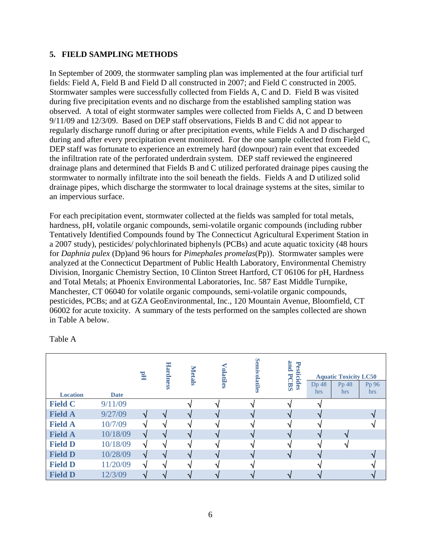#### **5. FIELD SAMPLING METHODS**

In September of 2009, the stormwater sampling plan was implemented at the four artificial turf fields: Field A, Field B and Field D all constructed in 2007; and Field C constructed in 2005. Stormwater samples were successfully collected from Fields A, C and D. Field B was visited during five precipitation events and no discharge from the established sampling station was observed. A total of eight stormwater samples were collected from Fields A, C and D between 9/11/09 and 12/3/09. Based on DEP staff observations, Fields B and C did not appear to regularly discharge runoff during or after precipitation events, while Fields A and D discharged during and after every precipitation event monitored. For the one sample collected from Field C, DEP staff was fortunate to experience an extremely hard (downpour) rain event that exceeded the infiltration rate of the perforated underdrain system. DEP staff reviewed the engineered drainage plans and determined that Fields B and C utilized perforated drainage pipes causing the stormwater to normally infiltrate into the soil beneath the fields. Fields A and D utilized solid drainage pipes, which discharge the stormwater to local drainage systems at the sites, similar to an impervious surface.

For each precipitation event, stormwater collected at the fields was sampled for total metals, hardness, pH, volatile organic compounds, semi-volatile organic compounds (including rubber Tentatively Identified Compounds found by The Connecticut Agricultural Experiment Station in a 2007 study), pesticides/ polychlorinated biphenyls (PCBs) and acute aquatic toxicity (48 hours for *Daphnia pulex* (Dp)and 96 hours for *Pimephales promelas*(Pp)). Stormwater samples were analyzed at the Connecticut Department of Public Health Laboratory, Environmental Chemistry Division, Inorganic Chemistry Section, 10 Clinton Street Hartford, CT 06106 for pH, Hardness and Total Metals; at Phoenix Environmental Laboratories, Inc. 587 East Middle Turnpike, Manchester, CT 06040 for volatile organic compounds, semi-volatile organic compounds, pesticides, PCBs; and at GZA GeoEnvironmental, Inc., 120 Mountain Avenue, Bloomfield, CT 06002 for acute toxicity. A summary of the tests performed on the samples collected are shown in Table A below.

| <b>Location</b> | <b>Date</b> | F <sub>d</sub> | Ha<br>rdness | <b>Metals</b> | olatiles | <b>Semivolatiles</b> | and<br>Pes<br>ticides<br>$\overline{\mathbf{v}}$<br><b>CBS</b> | Dp 48<br>hrs | <b>Aquatic Toxicity LC50</b><br>Pp 48<br>hrs | Pp 96<br>hrs. |
|-----------------|-------------|----------------|--------------|---------------|----------|----------------------|----------------------------------------------------------------|--------------|----------------------------------------------|---------------|
| <b>Field C</b>  | 9/11/09     |                |              |               |          |                      |                                                                |              |                                              |               |
| <b>Field A</b>  | 9/27/09     | $\mathcal{N}$  | V            |               |          |                      |                                                                |              |                                              |               |
| <b>Field A</b>  | 10/7/09     | $\Delta$       | ٦١           |               |          |                      |                                                                |              |                                              |               |
| <b>Field A</b>  | 10/18/09    | $\mathbf{v}$   |              |               |          |                      |                                                                |              |                                              |               |
| <b>Field D</b>  | 10/18/09    | V              |              |               |          |                      |                                                                |              |                                              |               |
| <b>Field D</b>  | 10/28/09    | $\mathbf v$    |              |               |          |                      |                                                                |              |                                              |               |
| <b>Field D</b>  | 11/20/09    | N              |              |               |          |                      |                                                                |              |                                              |               |
| <b>Field D</b>  | 12/3/09     |                |              |               |          |                      |                                                                |              |                                              |               |

Table A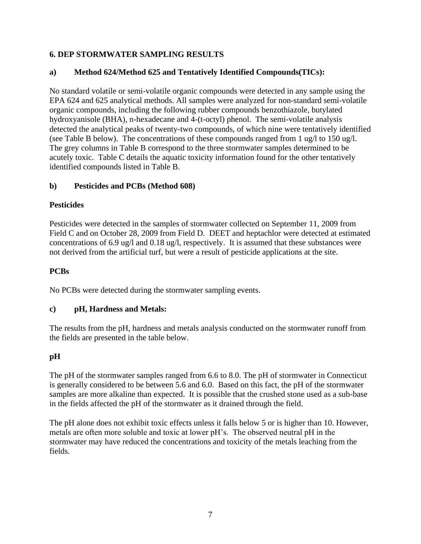#### **6. DEP STORMWATER SAMPLING RESULTS**

#### **a) Method 624/Method 625 and Tentatively Identified Compounds(TICs):**

No standard volatile or semi-volatile organic compounds were detected in any sample using the EPA 624 and 625 analytical methods. All samples were analyzed for non-standard semi-volatile organic compounds, including the following rubber compounds benzothiazole, butylated hydroxyanisole (BHA), n-hexadecane and 4-(t-octyl) phenol. The semi-volatile analysis detected the analytical peaks of twenty-two compounds, of which nine were tentatively identified (see Table B below). The concentrations of these compounds ranged from 1 ug/l to 150 ug/l. The grey columns in Table B correspond to the three stormwater samples determined to be acutely toxic. Table C details the aquatic toxicity information found for the other tentatively identified compounds listed in Table B.

#### **b) Pesticides and PCBs (Method 608)**

#### **Pesticides**

Pesticides were detected in the samples of stormwater collected on September 11, 2009 from Field C and on October 28, 2009 from Field D. DEET and heptachlor were detected at estimated concentrations of 6.9 ug/l and 0.18 ug/l, respectively. It is assumed that these substances were not derived from the artificial turf, but were a result of pesticide applications at the site.

#### **PCBs**

No PCBs were detected during the stormwater sampling events.

#### **c) pH, Hardness and Metals:**

The results from the pH, hardness and metals analysis conducted on the stormwater runoff from the fields are presented in the table below.

#### **pH**

The pH of the stormwater samples ranged from 6.6 to 8.0. The pH of stormwater in Connecticut is generally considered to be between 5.6 and 6.0. Based on this fact, the pH of the stormwater samples are more alkaline than expected. It is possible that the crushed stone used as a sub-base in the fields affected the pH of the stormwater as it drained through the field.

The pH alone does not exhibit toxic effects unless it falls below 5 or is higher than 10. However, metals are often more soluble and toxic at lower pH's. The observed neutral pH in the stormwater may have reduced the concentrations and toxicity of the metals leaching from the fields.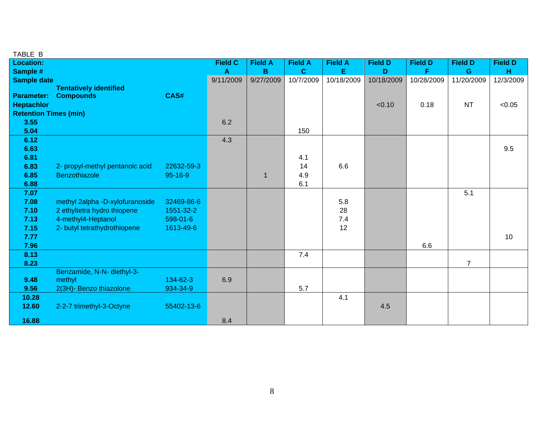| TABLE B                      |                                 |               |                |                |                |                |                |                |                |                |
|------------------------------|---------------------------------|---------------|----------------|----------------|----------------|----------------|----------------|----------------|----------------|----------------|
| <b>Location:</b>             |                                 |               | <b>Field C</b> | <b>Field A</b> | <b>Field A</b> | <b>Field A</b> | <b>Field D</b> | <b>Field D</b> | <b>Field D</b> | <b>Field D</b> |
| Sample #                     |                                 |               | $\mathbf{A}$   | B              | $\mathbf{C}$   | E.             | D              | F              | $\mathbf G$    | H              |
| <b>Sample date</b>           |                                 |               | 9/11/2009      | 9/27/2009      | 10/7/2009      | 10/18/2009     | 10/18/2009     | 10/28/2009     | 11/20/2009     | 12/3/2009      |
|                              | <b>Tentatively identified</b>   |               |                |                |                |                |                |                |                |                |
| <b>Parameter:</b>            | <b>Compounds</b>                | CAS#          |                |                |                |                |                |                |                |                |
| <b>Heptachlor</b>            |                                 |               |                |                |                |                | < 0.10         | 0.18           | <b>NT</b>      | < 0.05         |
| <b>Retention Times (min)</b> |                                 |               |                |                |                |                |                |                |                |                |
| 3.55                         |                                 |               | 6.2            |                |                |                |                |                |                |                |
| 5.04                         |                                 |               |                |                | 150            |                |                |                |                |                |
| 6.12                         |                                 |               | 4.3            |                |                |                |                |                |                |                |
| 6.63                         |                                 |               |                |                |                |                |                |                |                | 9.5            |
| 6.81                         |                                 |               |                |                | 4.1            |                |                |                |                |                |
| 6.83                         | 2- propyl-methyl pentanoic acid | 22632-59-3    |                |                | 14             | 6.6            |                |                |                |                |
| 6.85                         | Benzothiazole                   | $95 - 16 - 9$ |                | 1              | 4.9            |                |                |                |                |                |
| 6.88                         |                                 |               |                |                | 6.1            |                |                |                |                |                |
| 7.07                         |                                 |               |                |                |                |                |                |                | 5.1            |                |
| 7.08                         | methyl 2alpha -D-xylofuranoside | 32469-86-6    |                |                |                | 5.8            |                |                |                |                |
| 7.10                         | 2 ethyltetra hydro thiopene     | 1551-32-2     |                |                |                | 28             |                |                |                |                |
| 7.13                         | 4-methyl4-Heptanol              | 598-01-6      |                |                |                | 7.4            |                |                |                |                |
| 7.15                         | 2- butyl tetrathydrothiopene    | 1613-49-6     |                |                |                | 12             |                |                |                |                |
| 7.77                         |                                 |               |                |                |                |                |                |                |                | 10             |
| 7.96                         |                                 |               |                |                |                |                |                | 6.6            |                |                |
| 8.13                         |                                 |               |                |                | 7.4            |                |                |                |                |                |
| 8.23                         |                                 |               |                |                |                |                |                |                | $\overline{7}$ |                |
|                              | Benzamide, N-N- diethyl-3-      |               |                |                |                |                |                |                |                |                |
| 9.48                         | methyl                          | 134-62-3      | 6.9            |                |                |                |                |                |                |                |
| 9.56                         | 2(3H)- Benzo thiazolone         | 934-34-9      |                |                | 5.7            |                |                |                |                |                |
| 10.28                        |                                 |               |                |                |                | 4.1            |                |                |                |                |
| 12.60                        | 2-2-7 trimethyl-3-Octyne        | 55402-13-6    |                |                |                |                | 4.5            |                |                |                |
|                              |                                 |               |                |                |                |                |                |                |                |                |
| 16.88                        |                                 |               | 8.4            |                |                |                |                |                |                |                |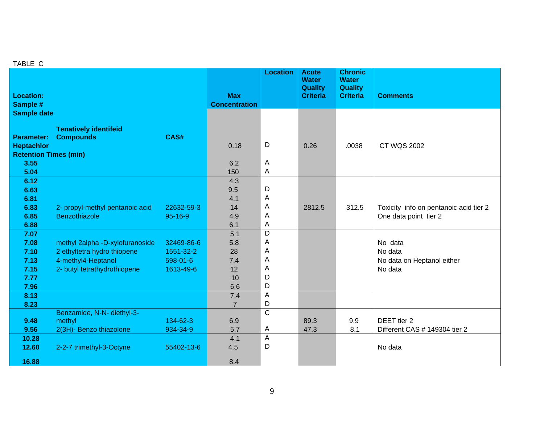#### TABLE C

| <b>Location:</b><br>Sample #                                                                 |                                                                                                                      |                                                  | <b>Max</b><br><b>Concentration</b>         | <b>Location</b>                 | <b>Acute</b><br><b>Water</b><br><b>Quality</b><br><b>Criteria</b> | <b>Chronic</b><br><b>Water</b><br><b>Quality</b><br><b>Criteria</b> | <b>Comments</b>                                                 |
|----------------------------------------------------------------------------------------------|----------------------------------------------------------------------------------------------------------------------|--------------------------------------------------|--------------------------------------------|---------------------------------|-------------------------------------------------------------------|---------------------------------------------------------------------|-----------------------------------------------------------------|
| <b>Sample date</b><br><b>Parameter:</b><br><b>Heptachlor</b><br><b>Retention Times (min)</b> | <b>Tenatively identifeid</b><br><b>Compounds</b>                                                                     | CAS#                                             | 0.18                                       | D                               | 0.26                                                              | .0038                                                               | <b>CT WQS 2002</b>                                              |
| 3.55<br>5.04                                                                                 |                                                                                                                      |                                                  | 6.2<br>150                                 | Α<br>A                          |                                                                   |                                                                     |                                                                 |
| 6.12<br>6.63<br>6.81<br>6.83<br>6.85<br>6.88                                                 | 2- propyl-methyl pentanoic acid<br>Benzothiazole                                                                     | 22632-59-3<br>$95 - 16 - 9$                      | 4.3<br>9.5<br>4.1<br>14<br>4.9<br>6.1      | D<br>A<br>A<br>Α<br>А           | 2812.5                                                            | 312.5                                                               | Toxicity info on pentanoic acid tier 2<br>One data point tier 2 |
| 7.07<br>7.08<br>7.10<br>7.13<br>7.15<br>7.77<br>7.96                                         | methyl 2alpha -D-xylofuranoside<br>2 ethyltetra hydro thiopene<br>4-methyl4-Heptanol<br>2- butyl tetrathydrothiopene | 32469-86-6<br>1551-32-2<br>598-01-6<br>1613-49-6 | 5.1<br>5.8<br>28<br>7.4<br>12<br>10<br>6.6 | D<br>A<br>A<br>A<br>A<br>D<br>D |                                                                   |                                                                     | No data<br>No data<br>No data on Heptanol either<br>No data     |
| 8.13                                                                                         |                                                                                                                      |                                                  | 7.4                                        | A<br>D                          |                                                                   |                                                                     |                                                                 |
| 8.23<br>9.48<br>9.56                                                                         | Benzamide, N-N- diethyl-3-<br>methyl<br>2(3H)- Benzo thiazolone                                                      | 134-62-3<br>934-34-9                             | $\overline{7}$<br>6.9<br>5.7               | $\overline{C}$<br>Α             | 89.3<br>47.3                                                      | 9.9<br>8.1                                                          | DEET tier 2<br>Different CAS # 149304 tier 2                    |
| 10.28<br>12.60<br>16.88                                                                      | 2-2-7 trimethyl-3-Octyne                                                                                             | 55402-13-6                                       | 4.1<br>4.5<br>8.4                          | A<br>D                          |                                                                   |                                                                     | No data                                                         |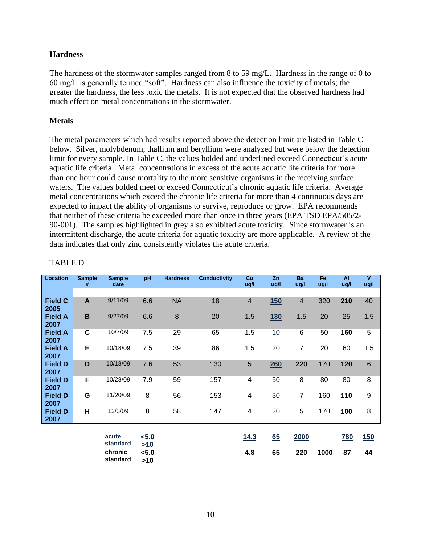#### **Hardness**

The hardness of the stormwater samples ranged from 8 to 59 mg/L. Hardness in the range of 0 to 60 mg/L is generally termed "soft". Hardness can also influence the toxicity of metals; the greater the hardness, the less toxic the metals. It is not expected that the observed hardness had much effect on metal concentrations in the stormwater.

#### **Metals**

The metal parameters which had results reported above the detection limit are listed in Table C below. Silver, molybdenum, thallium and beryllium were analyzed but were below the detection limit for every sample. In Table C, the values bolded and underlined exceed Connecticut's acute aquatic life criteria. Metal concentrations in excess of the acute aquatic life criteria for more than one hour could cause mortality to the more sensitive organisms in the receiving surface waters. The values bolded meet or exceed Connecticut's chronic aquatic life criteria. Average metal concentrations which exceed the chronic life criteria for more than 4 continuous days are expected to impact the ability of organisms to survive, reproduce or grow. EPA recommends that neither of these criteria be exceeded more than once in three years (EPA TSD EPA/505/2- 90-001). The samples highlighted in grey also exhibited acute toxicity. Since stormwater is an intermittent discharge, the acute criteria for aquatic toxicity are more applicable. A review of the data indicates that only zinc consistently violates the acute criteria.

| <b>Location</b>        | <b>Sample</b><br># | <b>Sample</b><br>date | pH           | <b>Hardness</b> | <b>Conductivity</b> | Cu<br>ug/l     | Zn<br>ug/l       | Ba<br>ug/l     | Fe<br>ug/l | <b>AI</b><br>ug/l | $\mathbf{V}$<br>ug/l |
|------------------------|--------------------|-----------------------|--------------|-----------------|---------------------|----------------|------------------|----------------|------------|-------------------|----------------------|
|                        |                    |                       |              |                 |                     |                |                  |                |            |                   |                      |
| <b>Field C</b><br>2005 | A                  | 9/11/09               | 6.6          | <b>NA</b>       | 18                  | $\overline{4}$ | 150              | $\overline{4}$ | 320        | 210               | 40                   |
| <b>Field A</b><br>2007 | $\mathbf B$        | 9/27/09               | 6.6          | 8               | 20                  | 1.5            | <u>130</u>       | 1.5            | 20         | 25                | 1.5                  |
| <b>Field A</b><br>2007 | C                  | 10/7/09               | 7.5          | 29              | 65                  | 1.5            | 10               | 6              | 50         | 160               | 5                    |
| <b>Field A</b><br>2007 | E                  | 10/18/09              | 7.5          | 39              | 86                  | 1.5            | 20               | $\overline{7}$ | 20         | 60                | 1.5                  |
| <b>Field D</b><br>2007 | D                  | 10/18/09              | 7.6          | 53              | 130                 | 5              | 260              | 220            | 170        | 120               | $6\phantom{1}$       |
| <b>Field D</b><br>2007 | F                  | 10/28/09              | 7.9          | 59              | 157                 | 4              | 50               | 8              | 80         | 80                | 8                    |
| <b>Field D</b><br>2007 | G                  | 11/20/09              | 8            | 56              | 153                 | 4              | 30               | $\overline{7}$ | 160        | 110               | 9                    |
| <b>Field D</b><br>2007 | н                  | 12/3/09               | 8            | 58              | 147                 | 4              | 20               | 5              | 170        | 100               | 8                    |
|                        |                    |                       |              |                 |                     |                |                  |                |            |                   |                      |
|                        |                    | acute<br>standard     | < 5.0<br>>10 |                 |                     | 14.3           | $\underline{65}$ | 2000           |            | <b>780</b>        | <u>150</u>           |
|                        |                    | chronic<br>standard   | < 5.0<br>>10 |                 |                     | 4.8            | 65               | 220            | 1000       | 87                | 44                   |

#### TABLE D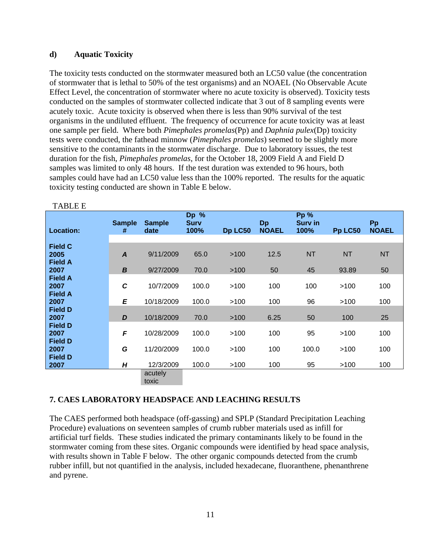#### **d) Aquatic Toxicity**

The toxicity tests conducted on the stormwater measured both an LC50 value (the concentration of stormwater that is lethal to 50% of the test organisms) and an NOAEL (No Observable Acute Effect Level, the concentration of stormwater where no acute toxicity is observed). Toxicity tests conducted on the samples of stormwater collected indicate that 3 out of 8 sampling events were acutely toxic. Acute toxicity is observed when there is less than 90% survival of the test organisms in the undiluted effluent. The frequency of occurrence for acute toxicity was at least one sample per field. Where both *Pimephales promelas*(Pp) and *Daphnia pulex*(Dp) toxicity tests were conducted, the fathead minnow (*Pimephales promelas*) seemed to be slightly more sensitive to the contaminants in the stormwater discharge. Due to laboratory issues, the test duration for the fish, *Pimephales promelas*, for the October 18, 2009 Field A and Field D samples was limited to only 48 hours. If the test duration was extended to 96 hours, both samples could have had an LC50 value less than the 100% reported. The results for the aquatic toxicity testing conducted are shown in Table E below.

|                        | <b>Sample</b>    | <b>Sample</b> | Dp %<br><b>Surv</b> |         | Dp           | <b>Pp %</b><br><b>Surv in</b> |           | Pp           |
|------------------------|------------------|---------------|---------------------|---------|--------------|-------------------------------|-----------|--------------|
| <b>Location:</b>       | #                | date          | 100%                | Dp LC50 | <b>NOAEL</b> | 100%                          | Pp LC50   | <b>NOAEL</b> |
|                        |                  |               |                     |         |              |                               |           |              |
| <b>Field C</b>         |                  |               |                     |         |              |                               |           |              |
| 2005                   | $\boldsymbol{A}$ | 9/11/2009     | 65.0                | >100    | 12.5         | <b>NT</b>                     | <b>NT</b> | <b>NT</b>    |
| <b>Field A</b><br>2007 | $\boldsymbol{B}$ | 9/27/2009     | 70.0                | >100    | 50           | 45                            | 93.89     | 50           |
| <b>Field A</b>         |                  |               |                     |         |              |                               |           |              |
| 2007                   | $\mathbf c$      | 10/7/2009     | 100.0               | >100    | 100          | 100                           | >100      | 100          |
| <b>Field A</b>         |                  |               |                     |         |              |                               |           |              |
| 2007                   | E                | 10/18/2009    | 100.0               | >100    | 100          | 96                            | >100      | 100          |
| <b>Field D</b>         |                  |               |                     |         |              |                               |           |              |
| 2007                   | D                | 10/18/2009    | 70.0                | >100    | 6.25         | 50                            | 100       | 25           |
| <b>Field D</b>         |                  |               |                     |         |              |                               |           |              |
| 2007                   | F                | 10/28/2009    | 100.0               | >100    | 100          | 95                            | >100      | 100          |
| <b>Field D</b>         |                  |               |                     |         |              |                               |           |              |
| 2007                   | G                | 11/20/2009    | 100.0               | >100    | 100          | 100.0                         | >100      | 100          |
| <b>Field D</b>         |                  |               |                     |         |              |                               |           |              |
| 2007                   | H                | 12/3/2009     | 100.0               | >100    | 100          | 95                            | >100      | 100          |
|                        |                  | acutely       |                     |         |              |                               |           |              |
|                        |                  | toxic         |                     |         |              |                               |           |              |

TABLE E

#### **7. CAES LABORATORY HEADSPACE AND LEACHING RESULTS**

The CAES performed both headspace (off-gassing) and SPLP (Standard Precipitation Leaching Procedure) evaluations on seventeen samples of crumb rubber materials used as infill for artificial turf fields. These studies indicated the primary contaminants likely to be found in the stormwater coming from these sites. Organic compounds were identified by head space analysis, with results shown in Table F below. The other organic compounds detected from the crumb rubber infill, but not quantified in the analysis, included hexadecane, fluoranthene, phenanthrene and pyrene.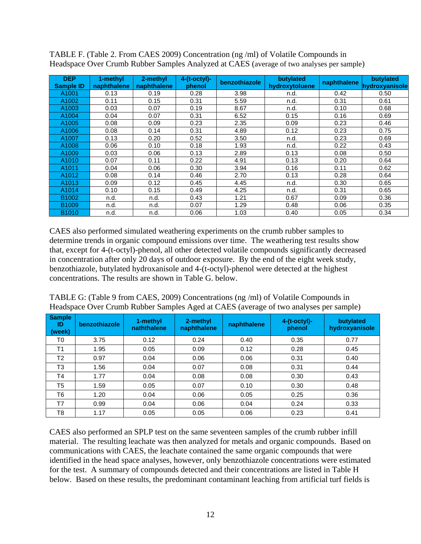| <b>DEP</b><br><b>Sample ID</b> | 1-methyl<br>naphthalene | 2-methyl<br>naphthalene | $4-(t-octyl)-$<br>phenol | benzothiazole | butylated<br>hydroxytoluene | naphthalene | butylated<br>hydroxyanisole |
|--------------------------------|-------------------------|-------------------------|--------------------------|---------------|-----------------------------|-------------|-----------------------------|
| A1001                          | 0.13                    | 0.19                    | 0.28                     | 3.98          | n.d.                        | 0.42        | 0.50                        |
| A1002                          | 0.11                    | 0.15                    | 0.31                     | 5.59          | n.d.                        | 0.31        | 0.61                        |
| A1003                          | 0.03                    | 0.07                    | 0.19                     | 8.67          | n.d.                        | 0.10        | 0.68                        |
| A1004                          | 0.04                    | 0.07                    | 0.31                     | 6.52          | 0.15                        | 0.16        | 0.69                        |
| A <sub>1005</sub>              | 0.08                    | 0.09                    | 0.23                     | 2.35          | 0.09                        | 0.23        | 0.46                        |
| A1006                          | 0.08                    | 0.14                    | 0.31                     | 4.89          | 0.12                        | 0.23        | 0.75                        |
| A1007                          | 0.13                    | 0.20                    | 0.52                     | 3.50          | n.d.                        | 0.23        | 0.69                        |
| A1008                          | 0.06                    | 0.10                    | 0.18                     | 1.93          | n.d.                        | 0.22        | 0.43                        |
| A1009                          | 0.03                    | 0.06                    | 0.13                     | 2.89          | 0.13                        | 0.08        | 0.50                        |
| A1010                          | 0.07                    | 0.11                    | 0.22                     | 4.91          | 0.13                        | 0.20        | 0.64                        |
| A1011                          | 0.04                    | 0.06                    | 0.30                     | 3.94          | 0.16                        | 0.11        | 0.62                        |
| A1012                          | 0.08                    | 0.14                    | 0.46                     | 2.70          | 0.13                        | 0.28        | 0.64                        |
| A <sub>1013</sub>              | 0.09                    | 0.12                    | 0.45                     | 4.45          | n.d.                        | 0.30        | 0.65                        |
| A1014                          | 0.10                    | 0.15                    | 0.49                     | 4.25          | n.d.                        | 0.31        | 0.65                        |
| B <sub>1002</sub>              | n.d.                    | n.d.                    | 0.43                     | 1.21          | 0.67                        | 0.09        | 0.36                        |
| B <sub>1009</sub>              | n.d.                    | n.d.                    | 0.07                     | 1.29          | 0.48                        | 0.06        | 0.35                        |
| B <sub>1010</sub>              | n.d.                    | n.d.                    | 0.06                     | 1.03          | 0.40                        | 0.05        | 0.34                        |

TABLE F. (Table 2. From CAES 2009) Concentration (ng /ml) of Volatile Compounds in Headspace Over Crumb Rubber Samples Analyzed at CAES (average of two analyses per sample)

CAES also performed simulated weathering experiments on the crumb rubber samples to determine trends in organic compound emissions over time. The weathering test results show that, except for 4-(t-octyl)-phenol, all other detected volatile compounds significantly decreased in concentration after only 20 days of outdoor exposure. By the end of the eight week study, benzothiazole, butylated hydroxanisole and 4-(t-octyl)-phenol were detected at the highest concentrations. The results are shown in Table G. below.

| TABLE G: (Table 9 from CAES, 2009) Concentrations (ng /ml) of Volatile Compounds in   |  |
|---------------------------------------------------------------------------------------|--|
| Headspace Over Crumb Rubber Samples Aged at CAES (average of two analyses per sample) |  |

| <b>Sample</b><br>ID<br>l (week) | benzothiazole | 1-methyl<br>naththalene | 2-methyl<br>naphthalene | naphthalene | $4-(t-octyl)$ -<br>phenol | butylated<br>hydroxyanisole |
|---------------------------------|---------------|-------------------------|-------------------------|-------------|---------------------------|-----------------------------|
| T0                              | 3.75          | 0.12                    | 0.24                    | 0.40        | 0.35                      | 0.77                        |
| T <sub>1</sub>                  | 1.95          | 0.05                    | 0.09                    | 0.12        | 0.28                      | 0.45                        |
| T <sub>2</sub>                  | 0.97          | 0.04                    | 0.06                    | 0.06        | 0.31                      | 0.40                        |
| T3                              | 1.56          | 0.04                    | 0.07                    | 0.08        | 0.31                      | 0.44                        |
| T <sub>4</sub>                  | 1.77          | 0.04                    | 0.08                    | 0.08        | 0.30                      | 0.43                        |
| T <sub>5</sub>                  | 1.59          | 0.05                    | 0.07                    | 0.10        | 0.30                      | 0.48                        |
| T6                              | 1.20          | 0.04                    | 0.06                    | 0.05        | 0.25                      | 0.36                        |
| T7                              | 0.99          | 0.04                    | 0.06                    | 0.04        | 0.24                      | 0.33                        |
| T8                              | 1.17          | 0.05                    | 0.05                    | 0.06        | 0.23                      | 0.41                        |

CAES also performed an SPLP test on the same seventeen samples of the crumb rubber infill material. The resulting leachate was then analyzed for metals and organic compounds. Based on communications with CAES, the leachate contained the same organic compounds that were identified in the head space analyses, however, only benzothiazole concentrations were estimated for the test. A summary of compounds detected and their concentrations are listed in Table H below. Based on these results, the predominant contaminant leaching from artificial turf fields is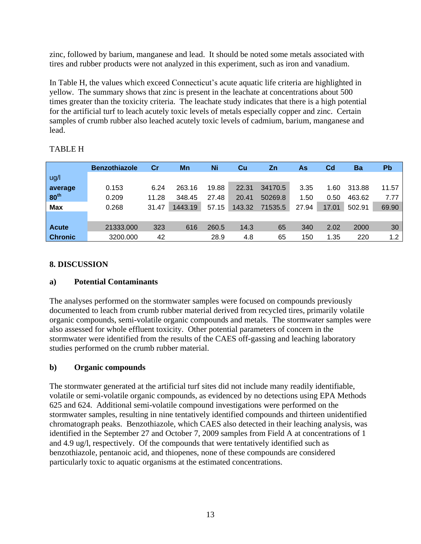zinc, followed by barium, manganese and lead. It should be noted some metals associated with tires and rubber products were not analyzed in this experiment, such as iron and vanadium.

In Table H, the values which exceed Connecticut's acute aquatic life criteria are highlighted in yellow. The summary shows that zinc is present in the leachate at concentrations about 500 times greater than the toxicity criteria. The leachate study indicates that there is a high potential for the artificial turf to leach acutely toxic levels of metals especially copper and zinc. Certain samples of crumb rubber also leached acutely toxic levels of cadmium, barium, manganese and lead.

|                  | <b>Benzothiazole</b> | Cr    | Mn      | Ni    | Cu     | <b>Zn</b> | As    | $_{\rm Cd}$ | Ba     | Pb               |
|------------------|----------------------|-------|---------|-------|--------|-----------|-------|-------------|--------|------------------|
| ug/l             |                      |       |         |       |        |           |       |             |        |                  |
| average          | 0.153                | 6.24  | 263.16  | 19.88 | 22.31  | 34170.5   | 3.35  | 1.60        | 313.88 | 11.57            |
| 80 <sup>th</sup> | 0.209                | 11.28 | 348.45  | 27.48 | 20.41  | 50269.8   | 1.50  | 0.50        | 463.62 | 7.77             |
| <b>Max</b>       | 0.268                | 31.47 | 1443.19 | 57.15 | 143.32 | 71535.5   | 27.94 | 17.01       | 502.91 | 69.90            |
|                  |                      |       |         |       |        |           |       |             |        |                  |
| <b>Acute</b>     | 21333.000            | 323   | 616     | 260.5 | 14.3   | 65        | 340   | 2.02        | 2000   | 30               |
| <b>Chronic</b>   | 3200.000             | 42    |         | 28.9  | 4.8    | 65        | 150   | 1.35        | 220    | 1.2 <sub>1</sub> |

#### TABLE H

#### **8. DISCUSSION**

#### **a) Potential Contaminants**

The analyses performed on the stormwater samples were focused on compounds previously documented to leach from crumb rubber material derived from recycled tires, primarily volatile organic compounds, semi-volatile organic compounds and metals. The stormwater samples were also assessed for whole effluent toxicity. Other potential parameters of concern in the stormwater were identified from the results of the CAES off-gassing and leaching laboratory studies performed on the crumb rubber material.

#### **b) Organic compounds**

The stormwater generated at the artificial turf sites did not include many readily identifiable, volatile or semi-volatile organic compounds, as evidenced by no detections using EPA Methods 625 and 624. Additional semi-volatile compound investigations were performed on the stormwater samples, resulting in nine tentatively identified compounds and thirteen unidentified chromatograph peaks. Benzothiazole, which CAES also detected in their leaching analysis, was identified in the September 27 and October 7, 2009 samples from Field A at concentrations of 1 and 4.9 ug/l, respectively. Of the compounds that were tentatively identified such as benzothiazole, pentanoic acid, and thiopenes, none of these compounds are considered particularly toxic to aquatic organisms at the estimated concentrations.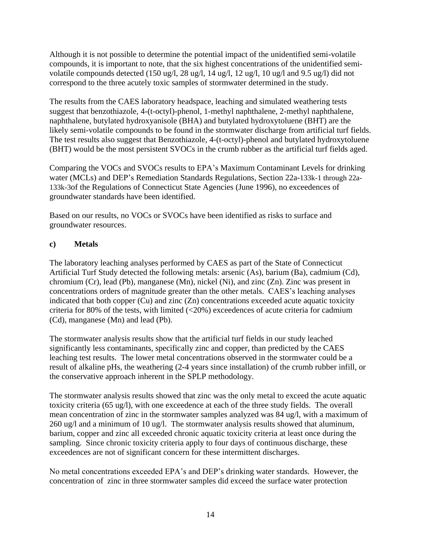Although it is not possible to determine the potential impact of the unidentified semi-volatile compounds, it is important to note, that the six highest concentrations of the unidentified semivolatile compounds detected (150 ug/l, 28 ug/l, 14 ug/l, 12 ug/l, 10 ug/l and 9.5 ug/l) did not correspond to the three acutely toxic samples of stormwater determined in the study.

The results from the CAES laboratory headspace, leaching and simulated weathering tests suggest that benzothiazole, 4-(t-octyl)-phenol, 1-methyl naphthalene, 2-methyl naphthalene, naphthalene, butylated hydroxyanisole (BHA) and butylated hydroxytoluene (BHT) are the likely semi-volatile compounds to be found in the stormwater discharge from artificial turf fields. The test results also suggest that Benzothiazole, 4-(t-octyl)-phenol and butylated hydroxytoluene (BHT) would be the most persistent SVOCs in the crumb rubber as the artificial turf fields aged.

Comparing the VOCs and SVOCs results to EPA's Maximum Contaminant Levels for drinking water (MCLs) and DEP's Remediation Standards Regulations, Section 22a-133k-1 through 22a-133k-3of the Regulations of Connecticut State Agencies (June 1996), no exceedences of groundwater standards have been identified.

Based on our results, no VOCs or SVOCs have been identified as risks to surface and groundwater resources.

#### **c) Metals**

The laboratory leaching analyses performed by CAES as part of the State of Connecticut Artificial Turf Study detected the following metals: arsenic (As), barium (Ba), cadmium (Cd), chromium (Cr), lead (Pb), manganese (Mn), nickel (Ni), and zinc (Zn). Zinc was present in concentrations orders of magnitude greater than the other metals. CAES's leaching analyses indicated that both copper (Cu) and zinc (Zn) concentrations exceeded acute aquatic toxicity criteria for 80% of the tests, with limited  $\langle$ <20%) exceedences of acute criteria for cadmium (Cd), manganese (Mn) and lead (Pb).

The stormwater analysis results show that the artificial turf fields in our study leached significantly less contaminants, specifically zinc and copper, than predicted by the CAES leaching test results. The lower metal concentrations observed in the stormwater could be a result of alkaline pHs, the weathering (2-4 years since installation) of the crumb rubber infill, or the conservative approach inherent in the SPLP methodology.

The stormwater analysis results showed that zinc was the only metal to exceed the acute aquatic toxicity criteria (65 ug/l), with one exceedence at each of the three study fields. The overall mean concentration of zinc in the stormwater samples analyzed was 84 ug/l, with a maximum of 260 ug/l and a minimum of 10 ug/l. The stormwater analysis results showed that aluminum, barium, copper and zinc all exceeded chronic aquatic toxicity criteria at least once during the sampling. Since chronic toxicity criteria apply to four days of continuous discharge, these exceedences are not of significant concern for these intermittent discharges.

No metal concentrations exceeded EPA's and DEP's drinking water standards. However, the concentration of zinc in three stormwater samples did exceed the surface water protection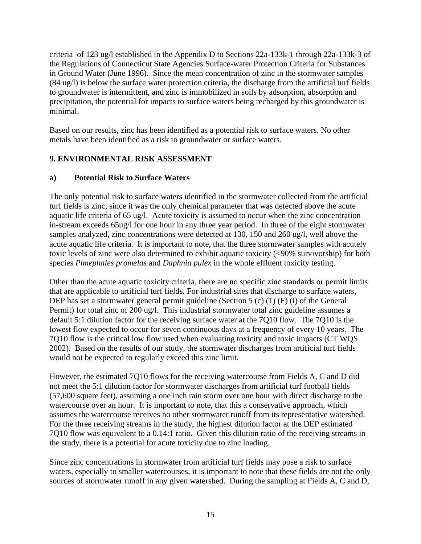criteria of 123 ug/l established in the Appendix D to Sections 22a-133k-1 through 22a-133k-3 of the Regulations of Connecticut State Agencies Surface-water Protection Criteria for Substances in Ground Water (June 1996). Since the mean concentration of zinc in the stormwater samples (84 ug/l) is below the surface water protection criteria, the discharge from the artificial turf fields to groundwater is intermittent, and zinc is immobilized in soils by adsorption, absorption and precipitation, the potential for impacts to surface waters being recharged by this groundwater is minimal.

Based on our results, zinc has been identified as a potential risk to surface waters. No other metals have been identified as a risk to groundwater or surface waters.

#### **9. ENVIRONMENTAL RISK ASSESSMENT**

#### **a) Potential Risk to Surface Waters**

The only potential risk to surface waters identified in the stormwater collected from the artificial turf fields is zinc, since it was the only chemical parameter that was detected above the acute aquatic life criteria of 65 ug/l. Acute toxicity is assumed to occur when the zinc concentration in-stream exceeds 65ug/l for one hour in any three year period. In three of the eight stormwater samples analyzed, zinc concentrations were detected at 130, 150 and 260 ug/l, well above the acute aquatic life criteria. It is important to note, that the three stormwater samples with acutely toxic levels of zinc were also determined to exhibit aquatic toxicity (<90% survivorship) for both species *Pimephales promelas* and *Daphnia pulex* in the whole effluent toxicity testing.

Other than the acute aquatic toxicity criteria, there are no specific zinc standards or permit limits that are applicable to artificial turf fields. For industrial sites that discharge to surface waters, DEP has set a stormwater general permit guideline (Section 5 (c) (1) (F) (i) of the General Permit) for total zinc of 200 ug/l. This industrial stormwater total zinc guideline assumes a default 5:1 dilution factor for the receiving surface water at the 7Q10 flow. The 7Q10 is the lowest flow expected to occur for seven continuous days at a frequency of every 10 years. The 7Q10 flow is the critical low flow used when evaluating toxicity and toxic impacts (CT WQS 2002). Based on the results of our study, the stormwater discharges from artificial turf fields would not be expected to regularly exceed this zinc limit.

However, the estimated 7Q10 flows for the receiving watercourse from Fields A, C and D did not meet the 5:1 dilution factor for stormwater discharges from artificial turf football fields (57,600 square feet), assuming a one inch rain storm over one hour with direct discharge to the watercourse over an hour. It is important to note, that this a conservative approach, which assumes the watercourse receives no other stormwater runoff from its representative watershed. For the three receiving streams in the study, the highest dilution factor at the DEP estimated 7Q10 flow was equivalent to a 0.14:1 ratio. Given this dilution ratio of the receiving streams in the study, there is a potential for acute toxicity due to zinc loading.

Since zinc concentrations in stormwater from artificial turf fields may pose a risk to surface waters, especially to smaller watercourses, it is important to note that these fields are not the only sources of stormwater runoff in any given watershed. During the sampling at Fields A, C and D,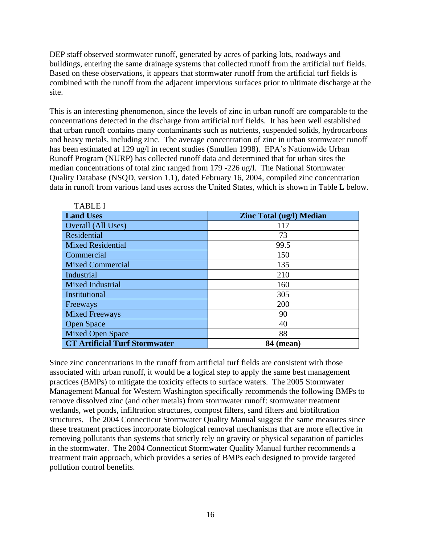DEP staff observed stormwater runoff, generated by acres of parking lots, roadways and buildings, entering the same drainage systems that collected runoff from the artificial turf fields. Based on these observations, it appears that stormwater runoff from the artificial turf fields is combined with the runoff from the adjacent impervious surfaces prior to ultimate discharge at the site.

This is an interesting phenomenon, since the levels of zinc in urban runoff are comparable to the concentrations detected in the discharge from artificial turf fields. It has been well established that urban runoff contains many contaminants such as nutrients, suspended solids, hydrocarbons and heavy metals, including zinc. The average concentration of zinc in urban stormwater runoff has been estimated at 129 ug/l in recent studies (Smullen 1998). EPA's Nationwide Urban Runoff Program (NURP) has collected runoff data and determined that for urban sites the median concentrations of total zinc ranged from 179 -226 ug/l. The National Stormwater Quality Database (NSQD, version 1.1), dated February 16, 2004, compiled zinc concentration data in runoff from various land uses across the United States, which is shown in Table L below.

| <b>TABLE I</b>                       |                                 |
|--------------------------------------|---------------------------------|
| <b>Land Uses</b>                     | <b>Zinc Total (ug/l) Median</b> |
| Overall (All Uses)                   | 117                             |
| <b>Residential</b>                   | 73                              |
| <b>Mixed Residential</b>             | 99.5                            |
| Commercial                           | 150                             |
| <b>Mixed Commercial</b>              | 135                             |
| Industrial                           | 210                             |
| <b>Mixed Industrial</b>              | 160                             |
| Institutional                        | 305                             |
| Freeways                             | 200                             |
| <b>Mixed Freeways</b>                | 90                              |
| <b>Open Space</b>                    | 40                              |
| <b>Mixed Open Space</b>              | 88                              |
| <b>CT Artificial Turf Stormwater</b> | <b>84 (mean)</b>                |

Since zinc concentrations in the runoff from artificial turf fields are consistent with those associated with urban runoff, it would be a logical step to apply the same best management practices (BMPs) to mitigate the toxicity effects to surface waters. The 2005 Stormwater Management Manual for Western Washington specifically recommends the following BMPs to remove dissolved zinc (and other metals) from stormwater runoff: stormwater treatment wetlands, wet ponds, infiltration structures, compost filters, sand filters and biofiltration structures. The 2004 Connecticut Stormwater Quality Manual suggest the same measures since these treatment practices incorporate biological removal mechanisms that are more effective in removing pollutants than systems that strictly rely on gravity or physical separation of particles in the stormwater. The 2004 Connecticut Stormwater Quality Manual further recommends a treatment train approach, which provides a series of BMPs each designed to provide targeted pollution control benefits.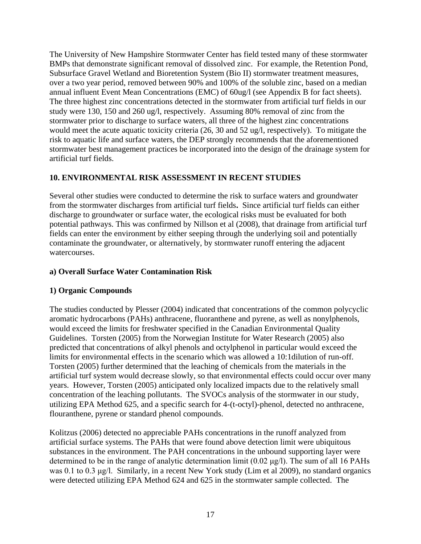The University of New Hampshire Stormwater Center has field tested many of these stormwater BMPs that demonstrate significant removal of dissolved zinc. For example, the Retention Pond, Subsurface Gravel Wetland and Bioretention System (Bio II) stormwater treatment measures, over a two year period, removed between 90% and 100% of the soluble zinc, based on a median annual influent Event Mean Concentrations (EMC) of 60ug/l (see Appendix B for fact sheets). The three highest zinc concentrations detected in the stormwater from artificial turf fields in our study were 130, 150 and 260 ug/l, respectively. Assuming 80% removal of zinc from the stormwater prior to discharge to surface waters, all three of the highest zinc concentrations would meet the acute aquatic toxicity criteria (26, 30 and 52 ug/l, respectively). To mitigate the risk to aquatic life and surface waters, the DEP strongly recommends that the aforementioned stormwater best management practices be incorporated into the design of the drainage system for artificial turf fields.

#### **10. ENVIRONMENTAL RISK ASSESSMENT IN RECENT STUDIES**

Several other studies were conducted to determine the risk to surface waters and groundwater from the stormwater discharges from artificial turf fields**.** Since artificial turf fields can either discharge to groundwater or surface water, the ecological risks must be evaluated for both potential pathways. This was confirmed by Nillson et al (2008), that drainage from artificial turf fields can enter the environment by either seeping through the underlying soil and potentially contaminate the groundwater, or alternatively, by stormwater runoff entering the adjacent watercourses.

#### **a) Overall Surface Water Contamination Risk**

#### **1) Organic Compounds**

The studies conducted by Plesser (2004) indicated that concentrations of the common polycyclic aromatic hydrocarbons (PAHs) anthracene, fluoranthene and pyrene, as well as nonylphenols, would exceed the limits for freshwater specified in the Canadian Environmental Quality Guidelines. Torsten (2005) from the Norwegian Institute for Water Research (2005) also predicted that concentrations of alkyl phenols and octylphenol in particular would exceed the limits for environmental effects in the scenario which was allowed a 10:1dilution of run-off. Torsten (2005) further determined that the leaching of chemicals from the materials in the artificial turf system would decrease slowly, so that environmental effects could occur over many years. However, Torsten (2005) anticipated only localized impacts due to the relatively small concentration of the leaching pollutants. The SVOCs analysis of the stormwater in our study, utilizing EPA Method 625, and a specific search for 4-(t-octyl)-phenol, detected no anthracene, flouranthene, pyrene or standard phenol compounds.

Kolitzus (2006) detected no appreciable PAHs concentrations in the runoff analyzed from artificial surface systems. The PAHs that were found above detection limit were ubiquitous substances in the environment. The PAH concentrations in the unbound supporting layer were determined to be in the range of analytic determination limit (0.02 μg/l). The sum of all 16 PAHs was 0.1 to 0.3 μg/l. Similarly, in a recent New York study (Lim et al 2009), no standard organics were detected utilizing EPA Method 624 and 625 in the stormwater sample collected. The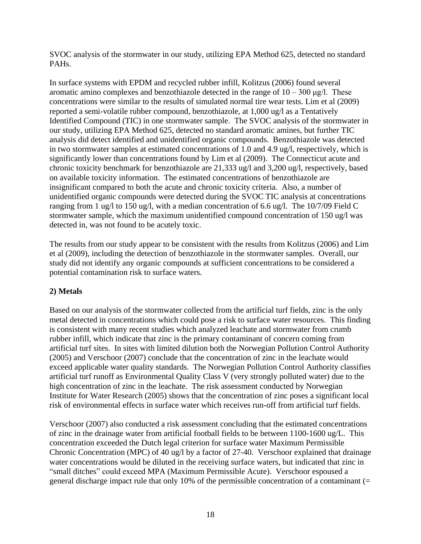SVOC analysis of the stormwater in our study, utilizing EPA Method 625, detected no standard PAHs.

In surface systems with EPDM and recycled rubber infill, Kolitzus (2006) found several aromatic amino complexes and benzothiazole detected in the range of  $10 - 300 \text{ µg/l}$ . These concentrations were similar to the results of simulated normal tire wear tests. Lim et al (2009) reported a semi-volatile rubber compound, benzothiazole, at 1,000 ug/l as a Tentatively Identified Compound (TIC) in one stormwater sample. The SVOC analysis of the stormwater in our study, utilizing EPA Method 625, detected no standard aromatic amines, but further TIC analysis did detect identified and unidentified organic compounds. Benzothiazole was detected in two stormwater samples at estimated concentrations of 1.0 and 4.9 ug/l, respectively, which is significantly lower than concentrations found by Lim et al (2009). The Connecticut acute and chronic toxicity benchmark for benzothiazole are 21,333 ug/l and 3,200 ug/l, respectively, based on available toxicity information. The estimated concentrations of benzothiazole are insignificant compared to both the acute and chronic toxicity criteria. Also, a number of unidentified organic compounds were detected during the SVOC TIC analysis at concentrations ranging from 1 ug/l to 150 ug/l, with a median concentration of 6.6 ug/l. The 10/7/09 Field C stormwater sample, which the maximum unidentified compound concentration of 150 ug/l was detected in, was not found to be acutely toxic.

The results from our study appear to be consistent with the results from Kolitzus (2006) and Lim et al (2009), including the detection of benzothiazole in the stormwater samples. Overall, our study did not identify any organic compounds at sufficient concentrations to be considered a potential contamination risk to surface waters.

#### **2) Metals**

Based on our analysis of the stormwater collected from the artificial turf fields, zinc is the only metal detected in concentrations which could pose a risk to surface water resources. This finding is consistent with many recent studies which analyzed leachate and stormwater from crumb rubber infill, which indicate that zinc is the primary contaminant of concern coming from artificial turf sites. In sites with limited dilution both the Norwegian Pollution Control Authority (2005) and Verschoor (2007) conclude that the concentration of zinc in the leachate would exceed applicable water quality standards. The Norwegian Pollution Control Authority classifies artificial turf runoff as Environmental Quality Class V (very strongly polluted water) due to the high concentration of zinc in the leachate. The risk assessment conducted by Norwegian Institute for Water Research (2005) shows that the concentration of zinc poses a significant local risk of environmental effects in surface water which receives run-off from artificial turf fields.

Verschoor (2007) also conducted a risk assessment concluding that the estimated concentrations of zinc in the drainage water from artificial football fields to be between 1100-1600 ug/L. This concentration exceeded the Dutch legal criterion for surface water Maximum Permissible Chronic Concentration (MPC) of 40 ug/l by a factor of 27-40. Verschoor explained that drainage water concentrations would be diluted in the receiving surface waters, but indicated that zinc in "small ditches" could exceed MPA (Maximum Permissible Acute). Verschoor espoused a general discharge impact rule that only 10% of the permissible concentration of a contaminant (=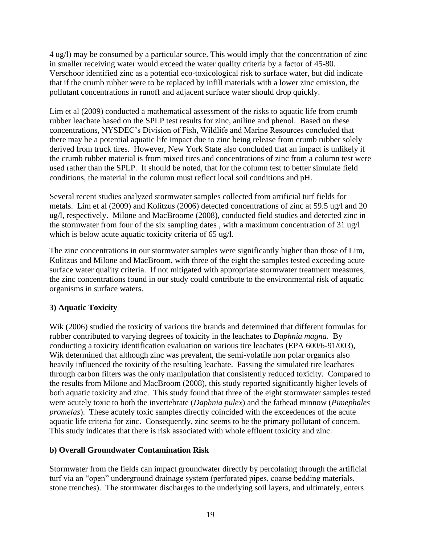4 ug/l) may be consumed by a particular source. This would imply that the concentration of zinc in smaller receiving water would exceed the water quality criteria by a factor of 45-80. Verschoor identified zinc as a potential eco-toxicological risk to surface water, but did indicate that if the crumb rubber were to be replaced by infill materials with a lower zinc emission, the pollutant concentrations in runoff and adjacent surface water should drop quickly.

Lim et al (2009) conducted a mathematical assessment of the risks to aquatic life from crumb rubber leachate based on the SPLP test results for zinc, aniline and phenol. Based on these concentrations, NYSDEC's Division of Fish, Wildlife and Marine Resources concluded that there may be a potential aquatic life impact due to zinc being release from crumb rubber solely derived from truck tires. However, New York State also concluded that an impact is unlikely if the crumb rubber material is from mixed tires and concentrations of zinc from a column test were used rather than the SPLP. It should be noted, that for the column test to better simulate field conditions, the material in the column must reflect local soil conditions and pH.

Several recent studies analyzed stormwater samples collected from artificial turf fields for metals. Lim et al (2009) and Kolitzus (2006) detected concentrations of zinc at 59.5 ug/l and 20 ug/l, respectively. Milone and MacBroome (2008), conducted field studies and detected zinc in the stormwater from four of the six sampling dates , with a maximum concentration of 31 ug/l which is below acute aquatic toxicity criteria of 65 ug/l.

The zinc concentrations in our stormwater samples were significantly higher than those of Lim, Kolitzus and Milone and MacBroom, with three of the eight the samples tested exceeding acute surface water quality criteria. If not mitigated with appropriate stormwater treatment measures, the zinc concentrations found in our study could contribute to the environmental risk of aquatic organisms in surface waters.

#### **3) Aquatic Toxicity**

Wik (2006) studied the toxicity of various tire brands and determined that different formulas for rubber contributed to varying degrees of toxicity in the leachates to *Daphnia magna*. By conducting a toxicity identification evaluation on various tire leachates (EPA 600/6-91/003), Wik determined that although zinc was prevalent, the semi-volatile non polar organics also heavily influenced the toxicity of the resulting leachate. Passing the simulated tire leachates through carbon filters was the only manipulation that consistently reduced toxicity. Compared to the results from Milone and MacBroom (2008), this study reported significantly higher levels of both aquatic toxicity and zinc. This study found that three of the eight stormwater samples tested were acutely toxic to both the invertebrate (*Daphnia pulex*) and the fathead minnow (*Pimephales promelas*). These acutely toxic samples directly coincided with the exceedences of the acute aquatic life criteria for zinc. Consequently, zinc seems to be the primary pollutant of concern. This study indicates that there is risk associated with whole effluent toxicity and zinc.

#### **b) Overall Groundwater Contamination Risk**

Stormwater from the fields can impact groundwater directly by percolating through the artificial turf via an "open" underground drainage system (perforated pipes, coarse bedding materials, stone trenches). The stormwater discharges to the underlying soil layers, and ultimately, enters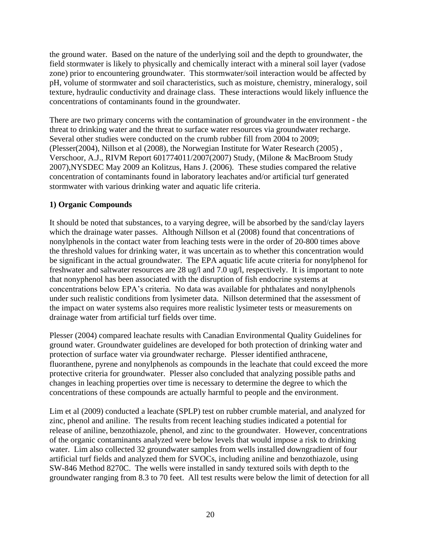the ground water. Based on the nature of the underlying soil and the depth to groundwater, the field stormwater is likely to physically and chemically interact with a mineral soil layer (vadose zone) prior to encountering groundwater. This stormwater/soil interaction would be affected by pH, volume of stormwater and soil characteristics, such as moisture, chemistry, mineralogy, soil texture, hydraulic conductivity and drainage class. These interactions would likely influence the concentrations of contaminants found in the groundwater.

There are two primary concerns with the contamination of groundwater in the environment - the threat to drinking water and the threat to surface water resources via groundwater recharge. Several other studies were conducted on the crumb rubber fill from 2004 to 2009; (Plesser(2004), Nillson et al (2008), the Norwegian Institute for Water Research (2005) , Verschoor, A.J., RIVM Report 601774011/2007(2007) Study, (Milone & MacBroom Study 2007),NYSDEC May 2009 an Kolitzus, Hans J. (2006). These studies compared the relative concentration of contaminants found in laboratory leachates and/or artificial turf generated stormwater with various drinking water and aquatic life criteria.

#### **1) Organic Compounds**

It should be noted that substances, to a varying degree, will be absorbed by the sand/clay layers which the drainage water passes. Although Nillson et al (2008) found that concentrations of nonylphenols in the contact water from leaching tests were in the order of 20-800 times above the threshold values for drinking water, it was uncertain as to whether this concentration would be significant in the actual groundwater. The EPA aquatic life acute criteria for nonylphenol for freshwater and saltwater resources are 28 ug/l and 7.0 ug/l, respectively. It is important to note that nonyphenol has been associated with the disruption of fish endocrine systems at concentrations below EPA's criteria. No data was available for phthalates and nonylphenols under such realistic conditions from lysimeter data. Nillson determined that the assessment of the impact on water systems also requires more realistic lysimeter tests or measurements on drainage water from artificial turf fields over time.

Plesser (2004) compared leachate results with Canadian Environmental Quality Guidelines for ground water. Groundwater guidelines are developed for both protection of drinking water and protection of surface water via groundwater recharge. Plesser identified anthracene, fluoranthene, pyrene and nonylphenols as compounds in the leachate that could exceed the more protective criteria for groundwater. Plesser also concluded that analyzing possible paths and changes in leaching properties over time is necessary to determine the degree to which the concentrations of these compounds are actually harmful to people and the environment.

Lim et al (2009) conducted a leachate (SPLP) test on rubber crumble material, and analyzed for zinc, phenol and aniline. The results from recent leaching studies indicated a potential for release of aniline, benzothiazole, phenol, and zinc to the groundwater. However, concentrations of the organic contaminants analyzed were below levels that would impose a risk to drinking water. Lim also collected 32 groundwater samples from wells installed downgradient of four artificial turf fields and analyzed them for SVOCs, including aniline and benzothiazole, using SW-846 Method 8270C. The wells were installed in sandy textured soils with depth to the groundwater ranging from 8.3 to 70 feet. All test results were below the limit of detection for all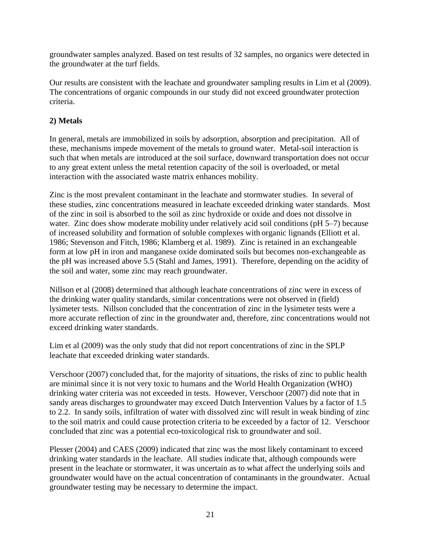groundwater samples analyzed. Based on test results of 32 samples, no organics were detected in the groundwater at the turf fields.

Our results are consistent with the leachate and groundwater sampling results in Lim et al (2009). The concentrations of organic compounds in our study did not exceed groundwater protection criteria.

#### **2) Metals**

In general, metals are immobilized in soils by adsorption, absorption and precipitation. All of these, mechanisms impede movement of the metals to ground water. Metal-soil interaction is such that when metals are introduced at the soil surface, downward transportation does not occur to any great extent unless the metal retention capacity of the soil is overloaded, or metal interaction with the associated waste matrix enhances mobility.

Zinc is the most prevalent contaminant in the leachate and stormwater studies. In several of these studies, zinc concentrations measured in leachate exceeded drinking water standards. Most of the zinc in soil is absorbed to the soil as zinc hydroxide or oxide and does not dissolve in water. Zinc does show moderate mobility under relatively acid soil conditions (pH 5–7) because of increased solubility and formation of soluble complexes with organic lignands (Elliott et al. [1986;](http://soil.scijournals.org/cgi/content/full/63/4/830#BIB1986) Stevenson and Fitch, [1986;](http://soil.scijournals.org/cgi/content/full/63/4/830#BIB1986) Klamberg et al. [1989\)](http://soil.scijournals.org/cgi/content/full/63/4/830#BIB1989). Zinc is retained in an exchangeable form at low pH in iron and manganese oxide dominated soils but becomes non-exchangeable as the pH was increased above 5.5 (Stahl and James, 1991). Therefore, depending on the acidity of the soil and water, some zinc may reach groundwater.

Nillson et al (2008) determined that although leachate concentrations of zinc were in excess of the drinking water quality standards, similar concentrations were not observed in (field) lysimeter tests. Nillson concluded that the concentration of zinc in the lysimeter tests were a more accurate reflection of zinc in the groundwater and, therefore, zinc concentrations would not exceed drinking water standards.

Lim et al (2009) was the only study that did not report concentrations of zinc in the SPLP leachate that exceeded drinking water standards.

Verschoor (2007) concluded that, for the majority of situations, the risks of zinc to public health are minimal since it is not very toxic to humans and the World Health Organization (WHO) drinking water criteria was not exceeded in tests. However, Verschoor (2007) did note that in sandy areas discharges to groundwater may exceed Dutch Intervention Values by a factor of 1.5 to 2.2. In sandy soils, infiltration of water with dissolved zinc will result in weak binding of zinc to the soil matrix and could cause protection criteria to be exceeded by a factor of 12. Verschoor concluded that zinc was a potential eco-toxicological risk to groundwater and soil.

Plesser (2004) and CAES (2009) indicated that zinc was the most likely contaminant to exceed drinking water standards in the leachate. All studies indicate that, although compounds were present in the leachate or stormwater, it was uncertain as to what affect the underlying soils and groundwater would have on the actual concentration of contaminants in the groundwater. Actual groundwater testing may be necessary to determine the impact.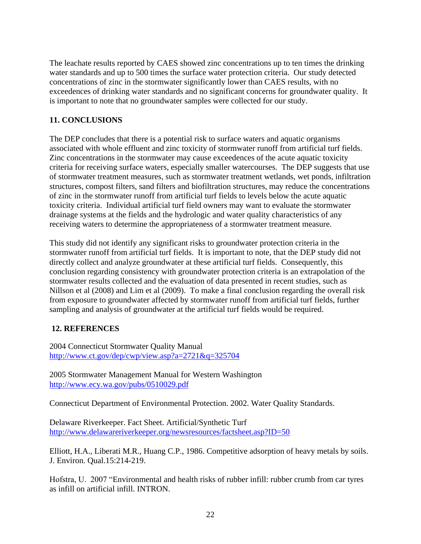The leachate results reported by CAES showed zinc concentrations up to ten times the drinking water standards and up to 500 times the surface water protection criteria. Our study detected concentrations of zinc in the stormwater significantly lower than CAES results, with no exceedences of drinking water standards and no significant concerns for groundwater quality. It is important to note that no groundwater samples were collected for our study.

#### **11. CONCLUSIONS**

The DEP concludes that there is a potential risk to surface waters and aquatic organisms associated with whole effluent and zinc toxicity of stormwater runoff from artificial turf fields. Zinc concentrations in the stormwater may cause exceedences of the acute aquatic toxicity criteria for receiving surface waters, especially smaller watercourses. The DEP suggests that use of stormwater treatment measures, such as stormwater treatment wetlands, wet ponds, infiltration structures, compost filters, sand filters and biofiltration structures, may reduce the concentrations of zinc in the stormwater runoff from artificial turf fields to levels below the acute aquatic toxicity criteria. Individual artificial turf field owners may want to evaluate the stormwater drainage systems at the fields and the hydrologic and water quality characteristics of any receiving waters to determine the appropriateness of a stormwater treatment measure.

This study did not identify any significant risks to groundwater protection criteria in the stormwater runoff from artificial turf fields. It is important to note, that the DEP study did not directly collect and analyze groundwater at these artificial turf fields. Consequently, this conclusion regarding consistency with groundwater protection criteria is an extrapolation of the stormwater results collected and the evaluation of data presented in recent studies, such as Nillson et al (2008) and Lim et al (2009). To make a final conclusion regarding the overall risk from exposure to groundwater affected by stormwater runoff from artificial turf fields, further sampling and analysis of groundwater at the artificial turf fields would be required.

#### **12. REFERENCES**

2004 Connecticut Stormwater Quality Manual <http://www.ct.gov/dep/cwp/view.asp?a=2721&q=325704>

2005 Stormwater Management Manual for Western Washington <http://www.ecy.wa.gov/pubs/0510029.pdf>

Connecticut Department of Environmental Protection. 2002. Water Quality Standards.

Delaware Riverkeeper. Fact Sheet. Artificial/Synthetic Turf <http://www.delawareriverkeeper.org/newsresources/factsheet.asp?ID=50>

Elliott, H.A., Liberati M.R., Huang C.P., 1986. Competitive adsorption of heavy metals by soils. J. Environ. Qual.15:214-219.

Hofstra, U. 2007 "Environmental and health risks of rubber infill: rubber crumb from car tyres as infill on artificial infill. INTRON.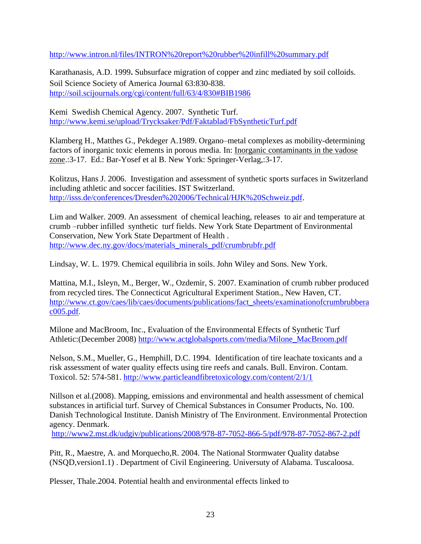<http://www.intron.nl/files/INTRON%20report%20rubber%20infill%20summary.pdf>

Karathanasis, A.D. 1999**.** Subsurface migration of copper and zinc mediated by soil colloids. Soil Science Society of America Journal 63:830-838. [http://soil.scijournals.org/cgi/content/full/63/4/830#BIB1986](http://soil.scijournals.org/cgi/content/full/63/4/830%23BIB1986)

Kemi Swedish Chemical Agency. 2007. Synthetic Turf. <http://www.kemi.se/upload/Trycksaker/Pdf/Faktablad/FbSyntheticTurf.pdf>

Klamberg H., Matthes G., Pekdeger A.1989. Organo–metal complexes as mobility-determining factors of inorganic toxic elements in porous media. In: Inorganic contaminants in the vadose zone.:3-17. Ed.: Bar-Yosef et al B. New York: Springer-Verlag,:3-17.

Kolitzus, Hans J. 2006. Investigation and assessment of synthetic sports surfaces in Switzerland including athletic and soccer facilities. IST Switzerland. [http://isss.de/conferences/Dresden%202006/Technical/HJK%20Schweiz.pdf.](http://isss.de/conferences/Dresden%202006/Technical/HJK%20Schweiz.pdf)

Lim and Walker. 2009. An assessment of chemical leaching, releases to air and temperature at crumb –rubber infilled synthetic turf fields. New York State Department of Environmental Conservation, New York State Department of Health . [http://www.dec.ny.gov/docs/materials\\_minerals\\_pdf/crumbrubfr.pdf](http://www.dec.ny.gov/docs/materials_minerals_pdf/crumbrubfr.pdf)

Lindsay, W. L. 1979. Chemical equilibria in soils. John Wiley and Sons. New York.

Mattina, M.I., Isleyn, M., Berger, W., Ozdemir, S. 2007. Examination of crumb rubber produced from recycled tires. The Connecticut Agricultural Experiment Station., New Haven, CT. [http://www.ct.gov/caes/lib/caes/documents/publications/fact\\_sheets/examinationofcrumbrubbera](http://www.ct.gov/caes/lib/caes/documents/publications/fact_sheets/examinationofcrumbrubberac005.pdf) [c005.pdf](http://www.ct.gov/caes/lib/caes/documents/publications/fact_sheets/examinationofcrumbrubberac005.pdf).

Milone and MacBroom, Inc., Evaluation of the Environmental Effects of Synthetic Turf Athletic:(December 2008) [http://www.actglobalsports.com/media/Milone\\_MacBroom.pdf](http://www.actglobalsports.com/media/Milone_MacBroom.pdf)

Nelson, S.M., Mueller, G., Hemphill, D.C. 1994. Identification of tire leachate toxicants and a risk assessment of water quality effects using tire reefs and canals. Bull. Environ. Contam. Toxicol. 52: 574-581.<http://www.particleandfibretoxicology.com/content/2/1/1>

Nillson et al.(2008). Mapping, emissions and environmental and health assessment of chemical substances in artificial turf. Survey of Chemical Substances in Consumer Products, No. 100. Danish Technological Institute. Danish Ministry of The Environment. Environmental Protection agency. Denmark.

<http://www2.mst.dk/udgiv/publications/2008/978-87-7052-866-5/pdf/978-87-7052-867-2.pdf>

Pitt, R., Maestre, A. and Morquecho,R. 2004. The National Stormwater Quality databse (NSQD,version1.1) . Department of Civil Engineering. Universuty of Alabama. Tuscaloosa.

Plesser, Thale.2004. Potential health and environmental effects linked to